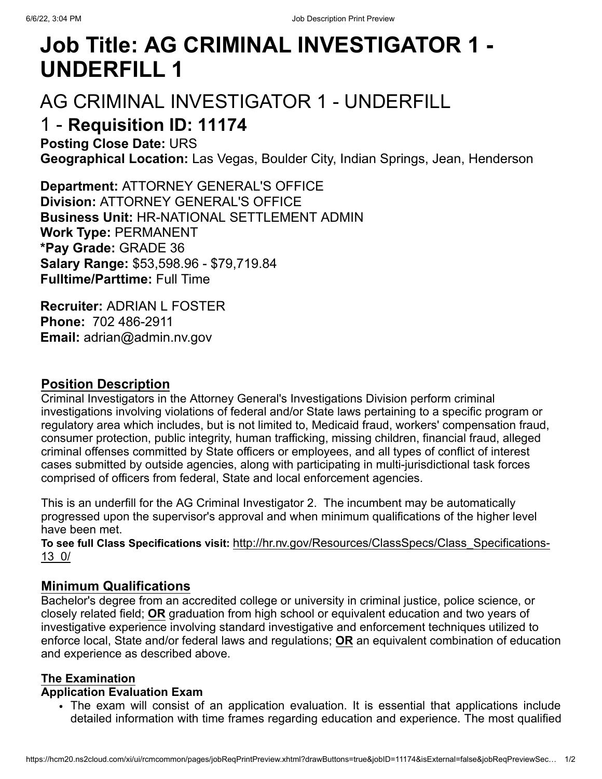# **Job Title: AG CRIMINAL INVESTIGATOR 1 - UNDERFILL 1**

# AG CRIMINAL INVESTIGATOR 1 - UNDERFILL

# 1 - **Requisition ID: 11174**

**Posting Close Date:** URS **Geographical Location:** Las Vegas, Boulder City, Indian Springs, Jean, Henderson

**Department:** ATTORNEY GENERAL'S OFFICE **Division:** ATTORNEY GENERAL'S OFFICE **Business Unit:** HR-NATIONAL SETTLEMENT ADMIN **Work Type:** PERMANENT **\*Pay Grade:** GRADE 36 **Salary Range:** \$53,598.96 - \$79,719.84 **Fulltime/Parttime:** Full Time

**Recruiter:** ADRIAN L FOSTER **Phone:** 702 486-2911 **Email:** adrian@admin.nv.gov

## **Position Description**

Criminal Investigators in the Attorney General's Investigations Division perform criminal investigations involving violations of federal and/or State laws pertaining to a specific program or regulatory area which includes, but is not limited to, Medicaid fraud, workers' compensation fraud, consumer protection, public integrity, human trafficking, missing children, financial fraud, alleged criminal offenses committed by State officers or employees, and all types of conflict of interest cases submitted by outside agencies, along with participating in multi-jurisdictional task forces comprised of officers from federal, State and local enforcement agencies.

This is an underfill for the AG Criminal Investigator 2. The incumbent may be automatically progressed upon the supervisor's approval and when minimum qualifications of the higher level have been met.

**To see full Class Specifications visit:** [http://hr.nv.gov/Resources/ClassSpecs/Class\\_Specifications-](javascript:void(0);)13\_0/

# **Minimum Qualifications**

Bachelor's degree from an accredited college or university in criminal justice, police science, or closely related field; **OR** graduation from high school or equivalent education and two years of investigative experience involving standard investigative and enforcement techniques utilized to enforce local, State and/or federal laws and regulations; **OR** an equivalent combination of education and experience as described above.

### **The Examination**

### **Application Evaluation Exam**

The exam will consist of an application evaluation. It is essential that applications include detailed information with time frames regarding education and experience. The most qualified